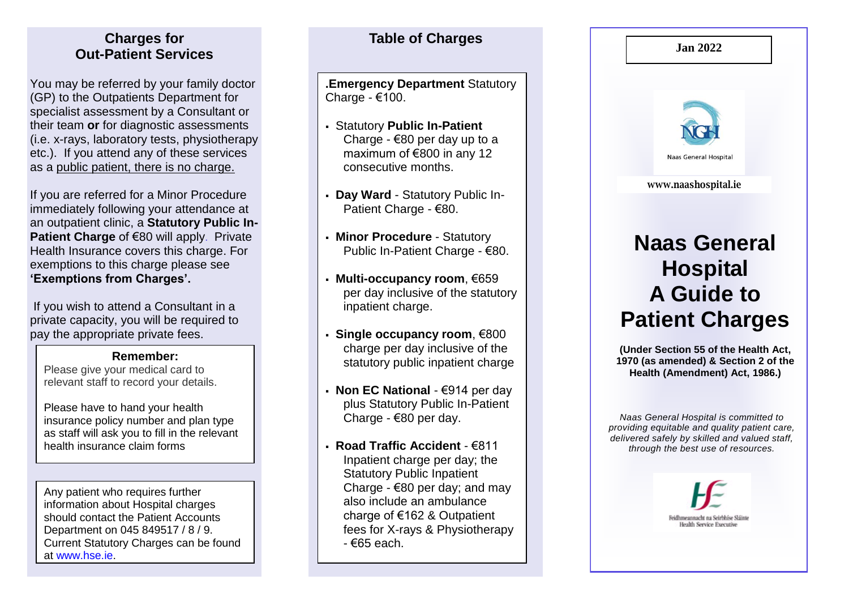#### **Charges for Table of Charges Out -Patient Services**

You may be referred by your family doctor (GP) to the Outpatients Department for specialist assessment by a Consultant or their team **or** for diagnostic assessments (i.e. x -rays, laboratory tests, physiotherapy etc.). If you attend any of these services as a public patient, there is no charge.

If you are referred for a Minor Procedure immediately following your attendance at an outpatient clinic, a **Statutory Public In - Patient Charge of €80 will apply. Private** Health Insurance covers this charge . For exemptions to this charge please see **'Exemptions from Charges'.**

If you wish to attend a Consultant in a private capacity, you will be required to pay the appropriate private fees.

#### **Remember:**

Please give your medical card to relevant staff to record your details.

Please have to hand your health insurance policy number and plan type as staff will ask you to fill in the relevant health insurance claim forms

Any patient who requires further information about Hospital charges should contact the Patient Accounts Department on 045 849517 / 8 / 9. Current Statutory Charges can be found at [www.hse.ie](http://www.hse.ie/) .

**. Emergency Department** Statutory Charge - €100.

- **Statutory Public In-Patient** Charge - €80 per day up to a maximum of €800 in any 12 consecutive months.
- **Day Ward** Statutory Public In-Patient Charge - €80.
- **Minor Procedure** Statutory Public In-Patient Charge - €80.
- **Multi - occupancy room**, €659 per day inclusive of the statutory inpatient charge.
- **Single occupancy room**, €800 charge per day inclusive of the statutory public inpatient charge
- **Non EC National** €914 per day plus Statutory Public In -Patient Charge - €80 per day.
- **Road Traffic Accident** €811 Inpatient charge per day; the Statutory Public Inpatient Charge - €80 per day; and may also include an ambulance charge of €162 & Outpatient fees for X -rays & Physiotherapy - €6 5 each .



*Naas General Hospital is committed to providing equitable and quality patient care, delivered safely by skilled and valued staff, through the best use of resources.*